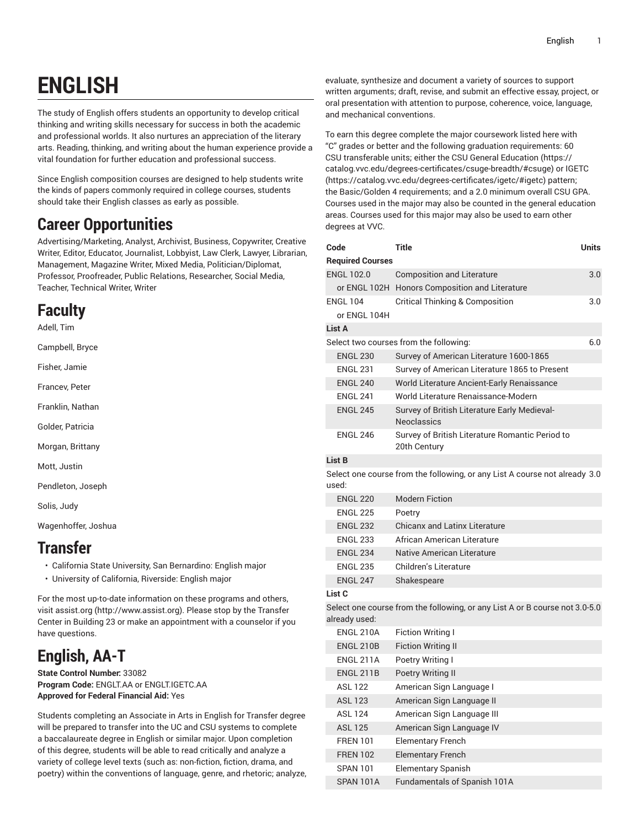# **ENGLISH**

The study of English offers students an opportunity to develop critical thinking and writing skills necessary for success in both the academic and professional worlds. It also nurtures an appreciation of the literary arts. Reading, thinking, and writing about the human experience provide a vital foundation for further education and professional success.

Since English composition courses are designed to help students write the kinds of papers commonly required in college courses, students should take their English classes as early as possible.

### **Career Opportunities**

Advertising/Marketing, Analyst, Archivist, Business, Copywriter, Creative Writer, Editor, Educator, Journalist, Lobbyist, Law Clerk, Lawyer, Librarian, Management, Magazine Writer, Mixed Media, Politician/Diplomat, Professor, Proofreader, Public Relations, Researcher, Social Media, Teacher, Technical Writer, Writer

## **Faculty**

Adell, Tim

Campbell, Bryce

Fisher, Jamie

Francev, Peter

Franklin, Nathan

Golder, Patricia

Morgan, Brittany

Mott, Justin

Pendleton, Joseph

Solis, Judy

Wagenhoffer, Joshua

### **Transfer**

- California State University, San Bernardino: English major
- University of California, Riverside: English major

For the most up-to-date information on these programs and others, visit [assist.org \(http://www.assist.org\)](http://www.assist.org). Please stop by the Transfer Center in Building 23 or make an appointment with a counselor if you have questions.

## **English, AA-T**

**State Control Number:** 33082 **Program Code:** ENGLT.AA or ENGLT.IGETC.AA **Approved for Federal Financial Aid:** Yes

Students completing an Associate in Arts in English for Transfer degree will be prepared to transfer into the UC and CSU systems to complete a baccalaureate degree in English or similar major. Upon completion of this degree, students will be able to read critically and analyze a variety of college level texts (such as: non-fiction, fiction, drama, and poetry) within the conventions of language, genre, and rhetoric; analyze,

evaluate, synthesize and document a variety of sources to support written arguments; draft, revise, and submit an effective essay, project, or oral presentation with attention to purpose, coherence, voice, language, and mechanical conventions.

To earn this degree complete the major coursework listed here with "C" grades or better and the following graduation requirements: 60 CSU transferable units; either the CSU General [Education](https://catalog.vvc.edu/degrees-certificates/csuge-breadth/#csuge) [\(https://](https://catalog.vvc.edu/degrees-certificates/csuge-breadth/#csuge) [catalog.vvc.edu/degrees-certificates/csuge-breadth/#csuge](https://catalog.vvc.edu/degrees-certificates/csuge-breadth/#csuge)) or [IGETC](https://catalog.vvc.edu/degrees-certificates/igetc/#igetc) [\(https://catalog.vvc.edu/degrees-certificates/igetc/#igetc\)](https://catalog.vvc.edu/degrees-certificates/igetc/#igetc) pattern; the Basic/Golden 4 requirements; and a 2.0 minimum overall CSU GPA. Courses used in the major may also be counted in the general education areas. Courses used for this major may also be used to earn other degrees at VVC.

| Code                                                                                         | <b>Title</b>                                                       | <b>Units</b> |  |  |  |  |
|----------------------------------------------------------------------------------------------|--------------------------------------------------------------------|--------------|--|--|--|--|
| <b>Required Courses</b>                                                                      |                                                                    |              |  |  |  |  |
| <b>ENGL 102.0</b>                                                                            | <b>Composition and Literature</b>                                  | 3.0          |  |  |  |  |
|                                                                                              | or ENGL 102H Honors Composition and Literature                     |              |  |  |  |  |
| <b>ENGL 104</b>                                                                              | <b>Critical Thinking &amp; Composition</b>                         | 3.0          |  |  |  |  |
| or ENGL 104H                                                                                 |                                                                    |              |  |  |  |  |
| List A                                                                                       |                                                                    |              |  |  |  |  |
| Select two courses from the following:                                                       |                                                                    |              |  |  |  |  |
| <b>ENGL 230</b>                                                                              | Survey of American Literature 1600-1865                            |              |  |  |  |  |
| <b>ENGL 231</b>                                                                              | Survey of American Literature 1865 to Present                      |              |  |  |  |  |
| <b>ENGL 240</b>                                                                              | World Literature Ancient-Early Renaissance                         |              |  |  |  |  |
| <b>ENGL 241</b>                                                                              | World Literature Renaissance-Modern                                |              |  |  |  |  |
| <b>ENGL 245</b>                                                                              | Survey of British Literature Early Medieval-<br><b>Neoclassics</b> |              |  |  |  |  |
| <b>ENGL 246</b>                                                                              | Survey of British Literature Romantic Period to<br>20th Century    |              |  |  |  |  |
| List B                                                                                       |                                                                    |              |  |  |  |  |
| Select one course from the following, or any List A course not already 3.0<br>used:          |                                                                    |              |  |  |  |  |
| <b>ENGL 220</b>                                                                              | <b>Modern Fiction</b>                                              |              |  |  |  |  |
| <b>ENGL 225</b>                                                                              | Poetry                                                             |              |  |  |  |  |
| <b>ENGL 232</b>                                                                              | Chicanx and Latinx Literature                                      |              |  |  |  |  |
| <b>ENGL 233</b>                                                                              | African American Literature                                        |              |  |  |  |  |
| <b>ENGL 234</b>                                                                              | Native American Literature                                         |              |  |  |  |  |
| <b>ENGL 235</b>                                                                              | Children's Literature                                              |              |  |  |  |  |
| <b>ENGL 247</b>                                                                              | Shakespeare                                                        |              |  |  |  |  |
| List C                                                                                       |                                                                    |              |  |  |  |  |
| Select one course from the following, or any List A or B course not 3.0-5.0<br>already used: |                                                                    |              |  |  |  |  |
| <b>ENGL 210A</b>                                                                             | <b>Fiction Writing I</b>                                           |              |  |  |  |  |
| <b>FNGL 210R</b>                                                                             | Fiction Writing II                                                 |              |  |  |  |  |

| I IVATI 7 IUM    | <b>FIGUOIT VYHUIGH</b>       |
|------------------|------------------------------|
| <b>ENGL 210B</b> | <b>Fiction Writing II</b>    |
| ENGL 211A        | Poetry Writing I             |
| <b>ENGL 211B</b> | Poetry Writing II            |
| <b>ASL 122</b>   | American Sign Language I     |
| <b>ASL 123</b>   | American Sign Language II    |
| <b>ASL 124</b>   | American Sign Language III   |
| <b>ASL 125</b>   | American Sign Language IV    |
| <b>FREN 101</b>  | <b>Elementary French</b>     |
| <b>FREN 102</b>  | <b>Elementary French</b>     |
| <b>SPAN 101</b>  | <b>Elementary Spanish</b>    |
| SPAN 101A        | Fundamentals of Spanish 101A |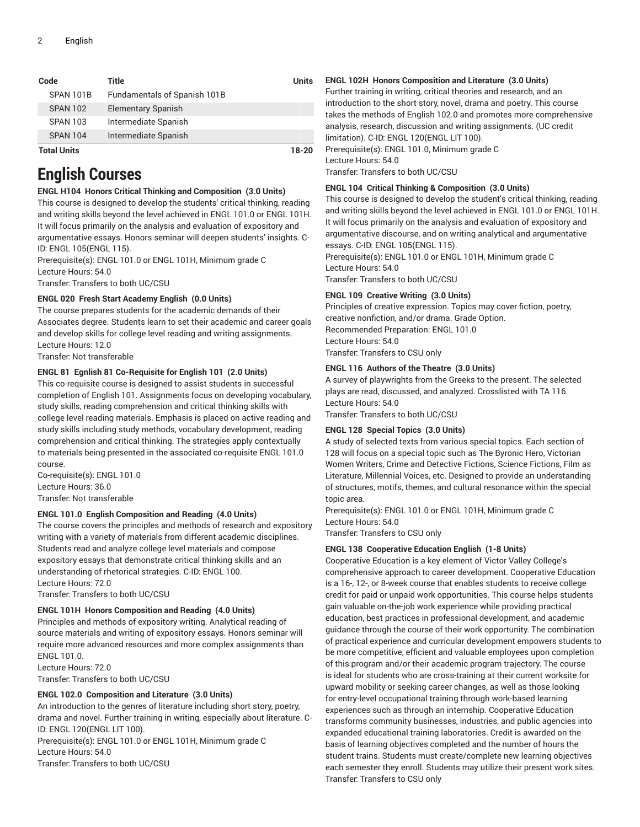| Code               | Title                        | Units |
|--------------------|------------------------------|-------|
| SPAN 101B          | Fundamentals of Spanish 101B |       |
| <b>SPAN 102</b>    | <b>Elementary Spanish</b>    |       |
| <b>SPAN 103</b>    | Intermediate Spanish         |       |
| <b>SPAN 104</b>    | Intermediate Spanish         |       |
| <b>Total Units</b> | 18-20                        |       |

### **English Courses**

#### **ENGL H104 Honors Critical Thinking and Composition (3.0 Units)**

This course is designed to develop the students' critical thinking, reading and writing skills beyond the level achieved in ENGL 101.0 or ENGL 101H. It will focus primarily on the analysis and evaluation of expository and argumentative essays. Honors seminar will deepen students' insights. C-ID: ENGL 105(ENGL 115).

Prerequisite(s): ENGL 101.0 or ENGL 101H, Minimum grade C Lecture Hours: 54.0

Transfer: Transfers to both UC/CSU

#### **ENGL 020 Fresh Start Academy English (0.0 Units)**

The course prepares students for the academic demands of their Associates degree. Students learn to set their academic and career goals and develop skills for college level reading and writing assignments. Lecture Hours: 12.0

Transfer: Not transferable

#### **ENGL 81 Egnlish 81 Co-Requisite for English 101 (2.0 Units)**

This co-requisite course is designed to assist students in successful completion of English 101. Assignments focus on developing vocabulary, study skills, reading comprehension and critical thinking skills with college level reading materials. Emphasis is placed on active reading and study skills including study methods, vocabulary development, reading comprehension and critical thinking. The strategies apply contextually to materials being presented in the associated co-requisite ENGL 101.0 course.

Co-requisite(s): ENGL 101.0 Lecture Hours: 36.0 Transfer: Not transferable

#### **ENGL 101.0 English Composition and Reading (4.0 Units)**

The course covers the principles and methods of research and expository writing with a variety of materials from different academic disciplines. Students read and analyze college level materials and compose expository essays that demonstrate critical thinking skills and an understanding of rhetorical strategies. C-ID: ENGL 100. Lecture Hours: 72.0

Transfer: Transfers to both UC/CSU

#### **ENGL 101H Honors Composition and Reading (4.0 Units)**

Principles and methods of expository writing. Analytical reading of source materials and writing of expository essays. Honors seminar will require more advanced resources and more complex assignments than ENGL 101.0.

Lecture Hours: 72.0 Transfer: Transfers to both UC/CSU

#### **ENGL 102.0 Composition and Literature (3.0 Units)**

An introduction to the genres of literature including short story, poetry, drama and novel. Further training in writing, especially about literature. C-ID: ENGL 120(ENGL LIT 100).

Prerequisite(s): ENGL 101.0 or ENGL 101H, Minimum grade C Lecture Hours: 54.0 Transfer: Transfers to both UC/CSU

**ENGL 102H Honors Composition and Literature (3.0 Units)**

Further training in writing, critical theories and research, and an introduction to the short story, novel, drama and poetry. This course takes the methods of English 102.0 and promotes more comprehensive analysis, research, discussion and writing assignments. (UC credit limitation). C-ID: ENGL 120(ENGL LIT 100). Prerequisite(s): ENGL 101.0, Minimum grade C Lecture Hours: 54.0

Transfer: Transfers to both UC/CSU

#### **ENGL 104 Critical Thinking & Composition (3.0 Units)**

This course is designed to develop the student's critical thinking, reading and writing skills beyond the level achieved in ENGL 101.0 or ENGL 101H. It will focus primarily on the analysis and evaluation of expository and argumentative discourse, and on writing analytical and argumentative essays. C-ID: ENGL 105(ENGL 115).

Prerequisite(s): ENGL 101.0 or ENGL 101H, Minimum grade C Lecture Hours: 54.0

Transfer: Transfers to both UC/CSU

**ENGL 109 Creative Writing (3.0 Units)** Principles of creative expression. Topics may cover fiction, poetry,

creative nonfiction, and/or drama. Grade Option. Recommended Preparation: ENGL 101.0 Lecture Hours: 54.0

Transfer: Transfers to CSU only

#### **ENGL 116 Authors of the Theatre (3.0 Units)**

A survey of playwrights from the Greeks to the present. The selected plays are read, discussed, and analyzed. Crosslisted with TA 116. Lecture Hours: 54.0

Transfer: Transfers to both UC/CSU

#### **ENGL 128 Special Topics (3.0 Units)**

A study of selected texts from various special topics. Each section of 128 will focus on a special topic such as The Byronic Hero, Victorian Women Writers, Crime and Detective Fictions, Science Fictions, Film as Literature, Millennial Voices, etc. Designed to provide an understanding of structures, motifs, themes, and cultural resonance within the special topic area.

Prerequisite(s): ENGL 101.0 or ENGL 101H, Minimum grade C Lecture Hours: 54.0

Transfer: Transfers to CSU only

#### **ENGL 138 Cooperative Education English (1-8 Units)**

Cooperative Education is a key element of Victor Valley College's comprehensive approach to career development. Cooperative Education is a 16-, 12-, or 8-week course that enables students to receive college credit for paid or unpaid work opportunities. This course helps students gain valuable on-the-job work experience while providing practical education, best practices in professional development, and academic guidance through the course of their work opportunity. The combination of practical experience and curricular development empowers students to be more competitive, efficient and valuable employees upon completion of this program and/or their academic program trajectory. The course is ideal for students who are cross-training at their current worksite for upward mobility or seeking career changes, as well as those looking for entry-level occupational training through work-based learning experiences such as through an internship. Cooperative Education transforms community businesses, industries, and public agencies into expanded educational training laboratories. Credit is awarded on the basis of learning objectives completed and the number of hours the student trains. Students must create/complete new learning objectives each semester they enroll. Students may utilize their present work sites. Transfer: Transfers to CSU only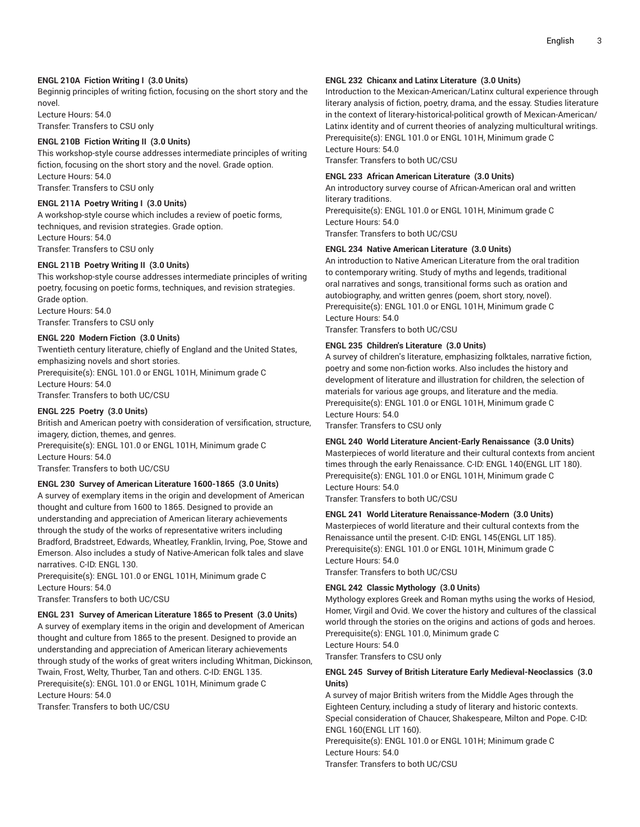#### **ENGL 210A Fiction Writing I (3.0 Units)**

Beginnig principles of writing fiction, focusing on the short story and the novel.

Lecture Hours: 54.0 Transfer: Transfers to CSU only

#### **ENGL 210B Fiction Writing II (3.0 Units)**

This workshop-style course addresses intermediate principles of writing fiction, focusing on the short story and the novel. Grade option. Lecture Hours: 54.0 Transfer: Transfers to CSU only

#### **ENGL 211A Poetry Writing I (3.0 Units)**

A workshop-style course which includes a review of poetic forms, techniques, and revision strategies. Grade option. Lecture Hours: 54.0 Transfer: Transfers to CSU only

#### **ENGL 211B Poetry Writing II (3.0 Units)**

This workshop-style course addresses intermediate principles of writing poetry, focusing on poetic forms, techniques, and revision strategies. Grade option. Lecture Hours: 54.0

Transfer: Transfers to CSU only

#### **ENGL 220 Modern Fiction (3.0 Units)**

Twentieth century literature, chiefly of England and the United States, emphasizing novels and short stories. Prerequisite(s): ENGL 101.0 or ENGL 101H, Minimum grade C

Lecture Hours: 54.0

Transfer: Transfers to both UC/CSU

#### **ENGL 225 Poetry (3.0 Units)**

British and American poetry with consideration of versification, structure, imagery, diction, themes, and genres.

Prerequisite(s): ENGL 101.0 or ENGL 101H, Minimum grade C Lecture Hours: 54.0

Transfer: Transfers to both UC/CSU

#### **ENGL 230 Survey of American Literature 1600-1865 (3.0 Units)**

A survey of exemplary items in the origin and development of American thought and culture from 1600 to 1865. Designed to provide an understanding and appreciation of American literary achievements through the study of the works of representative writers including Bradford, Bradstreet, Edwards, Wheatley, Franklin, Irving, Poe, Stowe and Emerson. Also includes a study of Native-American folk tales and slave narratives. C-ID: ENGL 130.

Prerequisite(s): ENGL 101.0 or ENGL 101H, Minimum grade C Lecture Hours: 54.0

Transfer: Transfers to both UC/CSU

#### **ENGL 231 Survey of American Literature 1865 to Present (3.0 Units)**

A survey of exemplary items in the origin and development of American thought and culture from 1865 to the present. Designed to provide an understanding and appreciation of American literary achievements through study of the works of great writers including Whitman, Dickinson, Twain, Frost, Welty, Thurber, Tan and others. C-ID: ENGL 135. Prerequisite(s): ENGL 101.0 or ENGL 101H, Minimum grade C Lecture Hours: 54.0

Transfer: Transfers to both UC/CSU

#### **ENGL 232 Chicanx and Latinx Literature (3.0 Units)**

Introduction to the Mexican-American/Latinx cultural experience through literary analysis of fiction, poetry, drama, and the essay. Studies literature in the context of literary-historical-political growth of Mexican-American/ Latinx identity and of current theories of analyzing multicultural writings. Prerequisite(s): ENGL 101.0 or ENGL 101H, Minimum grade C Lecture Hours: 54.0

Transfer: Transfers to both UC/CSU

#### **ENGL 233 African American Literature (3.0 Units)**

An introductory survey course of African-American oral and written literary traditions.

Prerequisite(s): ENGL 101.0 or ENGL 101H, Minimum grade C Lecture Hours: 54.0

Transfer: Transfers to both UC/CSU

#### **ENGL 234 Native American Literature (3.0 Units)**

An introduction to Native American Literature from the oral tradition to contemporary writing. Study of myths and legends, traditional oral narratives and songs, transitional forms such as oration and autobiography, and written genres (poem, short story, novel). Prerequisite(s): ENGL 101.0 or ENGL 101H, Minimum grade C Lecture Hours: 54.0

Transfer: Transfers to both UC/CSU

#### **ENGL 235 Children's Literature (3.0 Units)**

A survey of children's literature, emphasizing folktales, narrative fiction, poetry and some non-fiction works. Also includes the history and development of literature and illustration for children, the selection of materials for various age groups, and literature and the media. Prerequisite(s): ENGL 101.0 or ENGL 101H, Minimum grade C Lecture Hours: 54.0

Transfer: Transfers to CSU only

**ENGL 240 World Literature Ancient-Early Renaissance (3.0 Units)** Masterpieces of world literature and their cultural contexts from ancient times through the early Renaissance. C-ID: ENGL 140(ENGL LIT 180). Prerequisite(s): ENGL 101.0 or ENGL 101H, Minimum grade C Lecture Hours: 54.0

Transfer: Transfers to both UC/CSU

#### **ENGL 241 World Literature Renaissance-Modern (3.0 Units)**

Masterpieces of world literature and their cultural contexts from the Renaissance until the present. C-ID: ENGL 145(ENGL LIT 185). Prerequisite(s): ENGL 101.0 or ENGL 101H, Minimum grade C Lecture Hours: 54.0

Transfer: Transfers to both UC/CSU

#### **ENGL 242 Classic Mythology (3.0 Units)**

Mythology explores Greek and Roman myths using the works of Hesiod, Homer, Virgil and Ovid. We cover the history and cultures of the classical world through the stories on the origins and actions of gods and heroes. Prerequisite(s): ENGL 101.0, Minimum grade C

Lecture Hours: 54.0

Transfer: Transfers to CSU only

#### **ENGL 245 Survey of British Literature Early Medieval-Neoclassics (3.0 Units)**

A survey of major British writers from the Middle Ages through the Eighteen Century, including a study of literary and historic contexts. Special consideration of Chaucer, Shakespeare, Milton and Pope. C-ID: ENGL 160(ENGL LIT 160).

Prerequisite(s): ENGL 101.0 or ENGL 101H; Minimum grade C Lecture Hours: 54.0

Transfer: Transfers to both UC/CSU